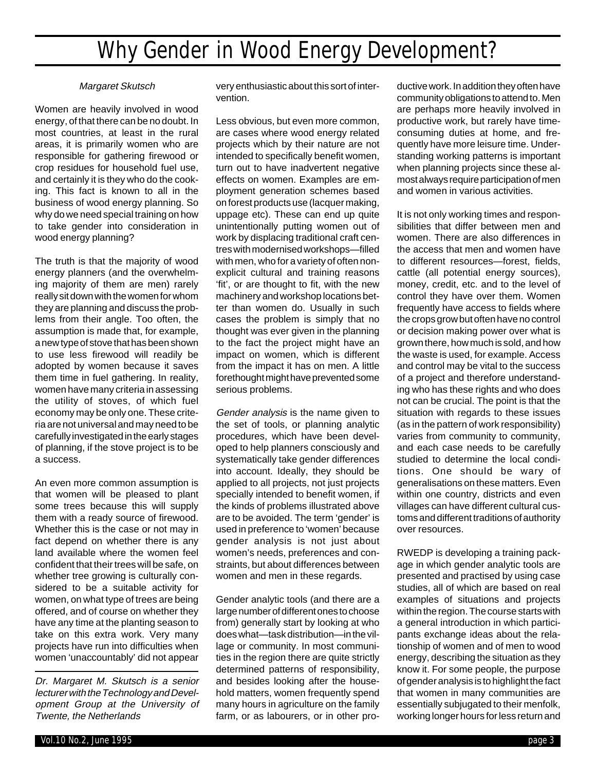## Why Gender in Wood Energy Development?

## Margaret Skutsch

Women are heavily involved in wood energy, of that there can be no doubt. In most countries, at least in the rural areas, it is primarily women who are responsible for gathering firewood or crop residues for household fuel use, and certainly it is they who do the cooking. This fact is known to all in the business of wood energy planning. So why do we need special training on how to take gender into consideration in wood energy planning?

The truth is that the majority of wood energy planners (and the overwhelming majority of them are men) rarely really sit down with the women for whom they are planning and discuss the problems from their angle. Too often, the assumption is made that, for example, a new type of stove that has been shown to use less firewood will readily be adopted by women because it saves them time in fuel gathering. In reality, women have many criteria in assessing the utility of stoves, of which fuel economy may be only one. These criteria are not universal and may need to be carefully investigated in the early stages of planning, if the stove project is to be a success.

An even more common assumption is that women will be pleased to plant some trees because this will supply them with a ready source of firewood. Whether this is the case or not may in fact depend on whether there is any land available where the women feel confident that their trees will be safe, on whether tree growing is culturally considered to be a suitable activity for women, on what type of trees are being offered, and of course on whether they have any time at the planting season to take on this extra work. Very many projects have run into difficulties when women 'unaccountably' did not appear

Dr. Margaret M. Skutsch is a senior lecturer with the Technology and Development Group at the University of Twente, the Netherlands

very enthusiastic about this sort of intervention.

Less obvious, but even more common, are cases where wood energy related projects which by their nature are not intended to specifically benefit women, turn out to have inadvertent negative effects on women. Examples are employment generation schemes based on forest products use (lacquer making, uppage etc). These can end up quite unintentionally putting women out of work by displacing traditional craft centres with modernised workshops—filled with men, who for a variety of often nonexplicit cultural and training reasons 'fit', or are thought to fit, with the new machinery and workshop locations better than women do. Usually in such cases the problem is simply that no thought was ever given in the planning to the fact the project might have an impact on women, which is different from the impact it has on men. A little forethought might have prevented some serious problems.

Gender analysis is the name given to the set of tools, or planning analytic procedures, which have been developed to help planners consciously and systematically take gender differences into account. Ideally, they should be applied to all projects, not just projects specially intended to benefit women, if the kinds of problems illustrated above are to be avoided. The term 'gender' is used in preference to 'women' because gender analysis is not just about women's needs, preferences and constraints, but about differences between women and men in these regards.

Gender analytic tools (and there are a large number of different ones to choose from) generally start by looking at who does what—task distribution—in the village or community. In most communities in the region there are quite strictly determined patterns of responsibility, and besides looking after the household matters, women frequently spend many hours in agriculture on the family farm, or as labourers, or in other productive work. In addition they often have community obligations to attend to. Men are perhaps more heavily involved in productive work, but rarely have timeconsuming duties at home, and frequently have more leisure time. Understanding working patterns is important when planning projects since these almost always require participation of men and women in various activities.

It is not only working times and responsibilities that differ between men and women. There are also differences in the access that men and women have to different resources—forest, fields, cattle (all potential energy sources), money, credit, etc. and to the level of control they have over them. Women frequently have access to fields where the crops grow but often have no control or decision making power over what is grown there, how much is sold, and how the waste is used, for example. Access and control may be vital to the success of a project and therefore understanding who has these rights and who does not can be crucial. The point is that the situation with regards to these issues (as in the pattern of work responsibility) varies from community to community, and each case needs to be carefully studied to determine the local conditions. One should be wary of generalisations on these matters. Even within one country, districts and even villages can have different cultural customs and different traditions of authority over resources.

RWEDP is developing a training package in which gender analytic tools are presented and practised by using case studies, all of which are based on real examples of situations and projects within the region. The course starts with a general introduction in which participants exchange ideas about the relationship of women and of men to wood energy, describing the situation as they know it. For some people, the purpose of gender analysis is to highlight the fact that women in many communities are essentially subjugated to their menfolk, working longer hours for less return and